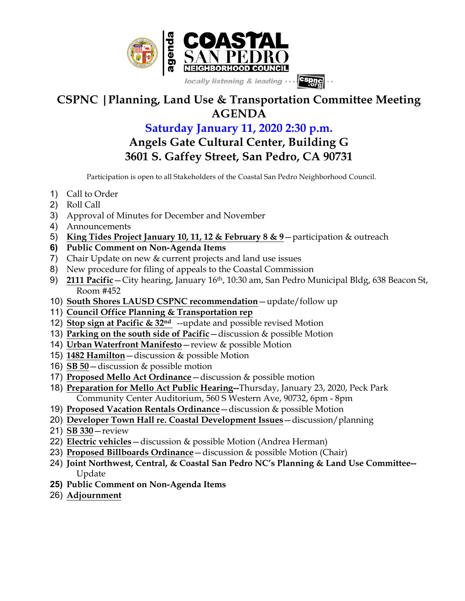

## **CSPNC |Planning, Land Use & Transportation Committee Meeting AGENDA**

## **Saturday January 11, 2020 2:30 p.m. Angels Gate Cultural Center, Building G 3601 S. Gaffey Street, San Pedro, CA 90731**

Participation is open to all Stakeholders of the Coastal San Pedro Neighborhood Council.

- 1) Call to Order
- 2) Roll Call
- 3) Approval of Minutes for December and November
- 4) Announcements
- 5) **King Tides Project January 10, 11, 12 & February 8 & 9**—participation & outreach
- **6) Public Comment on Non-Agenda Items**
- 7) Chair Update on new & current projects and land use issues
- 8) New procedure for filing of appeals to the Coastal Commission
- 9) **2111 Pacific**—City hearing, January 16th, 10:30 am, San Pedro Municipal Bldg, 638 Beacon St, Room #452
- 10) **South Shores LAUSD CSPNC recommendation**—update/follow up
- 11) **Council Office Planning & Transportation rep**
- 12) **Stop sign at Pacific & 32nd** --update and possible revised Motion
- 13) **Parking on the south side of Pacific**—discussion & possible Motion
- 14) **Urban Waterfront Manifesto**—review & possible Motion
- 15) **1482 Hamilton**—discussion & possible Motion
- 16) **SB 50**—discussion & possible motion
- 17) **Proposed Mello Act Ordinance**—discussion & possible motion
- 18) **Preparation for Mello Act Public Hearing--**Thursday, January 23, 2020, Peck Park Community Center Auditorium, 560 S Western Ave, 90732, 6pm - 8pm
- 19) **Proposed Vacation Rentals Ordinance**—discussion & possible Motion
- 20) **Developer Town Hall re. Coastal Development Issues**—discussion/planning
- 21) **SB 330**—review
- 22) **Electric vehicles**—discussion & possible Motion (Andrea Herman)
- 23) **Proposed Billboards Ordinance**—discussion & possible Motion (Chair)
- 24) **Joint Northwest, Central, & Coastal San Pedro NC's Planning & Land Use Committee--** Update
- **25) Public Comment on Non-Agenda Items**
- 26) **Adjournment**